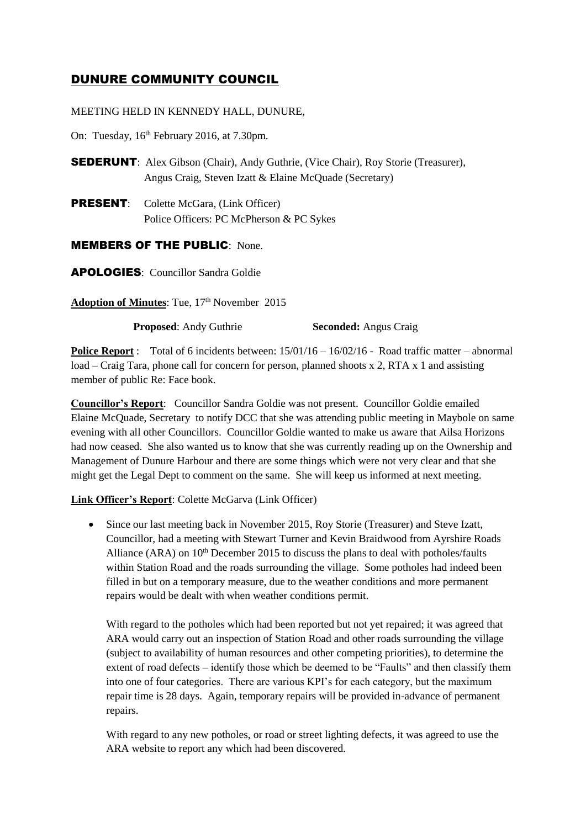# DUNURE COMMUNITY COUNCIL

# MEETING HELD IN KENNEDY HALL, DUNURE,

On: Tuesday, 16<sup>th</sup> February 2016, at 7.30pm.

SEDERUNT: Alex Gibson (Chair), Andy Guthrie, (Vice Chair), Roy Storie (Treasurer), Angus Craig, Steven Izatt & Elaine McQuade (Secretary)

PRESENT: Colette McGara, (Link Officer) Police Officers: PC McPherson & PC Sykes

# MEMBERS OF THE PUBLIC: None.

APOLOGIES: Councillor Sandra Goldie

Adoption of Minutes: Tue, 17<sup>th</sup> November 2015

**Proposed:** Andy Guthrie **Seconded:** Angus Craig

**Police Report** : Total of 6 incidents between:  $15/01/16 - 16/02/16$  - Road traffic matter – abnormal load – Craig Tara, phone call for concern for person, planned shoots x 2, RTA x 1 and assisting member of public Re: Face book.

**Councillor's Report**: Councillor Sandra Goldie was not present. Councillor Goldie emailed Elaine McQuade, Secretary to notify DCC that she was attending public meeting in Maybole on same evening with all other Councillors. Councillor Goldie wanted to make us aware that Ailsa Horizons had now ceased. She also wanted us to know that she was currently reading up on the Ownership and Management of Dunure Harbour and there are some things which were not very clear and that she might get the Legal Dept to comment on the same. She will keep us informed at next meeting.

# **Link Officer's Report**: Colette McGarva (Link Officer)

 Since our last meeting back in November 2015, Roy Storie (Treasurer) and Steve Izatt, Councillor, had a meeting with Stewart Turner and Kevin Braidwood from Ayrshire Roads Alliance (ARA) on  $10<sup>th</sup>$  December 2015 to discuss the plans to deal with potholes/faults within Station Road and the roads surrounding the village. Some potholes had indeed been filled in but on a temporary measure, due to the weather conditions and more permanent repairs would be dealt with when weather conditions permit.

With regard to the potholes which had been reported but not yet repaired; it was agreed that ARA would carry out an inspection of Station Road and other roads surrounding the village (subject to availability of human resources and other competing priorities), to determine the extent of road defects – identify those which be deemed to be "Faults" and then classify them into one of four categories. There are various KPI's for each category, but the maximum repair time is 28 days. Again, temporary repairs will be provided in-advance of permanent repairs.

With regard to any new potholes, or road or street lighting defects, it was agreed to use the ARA website to report any which had been discovered.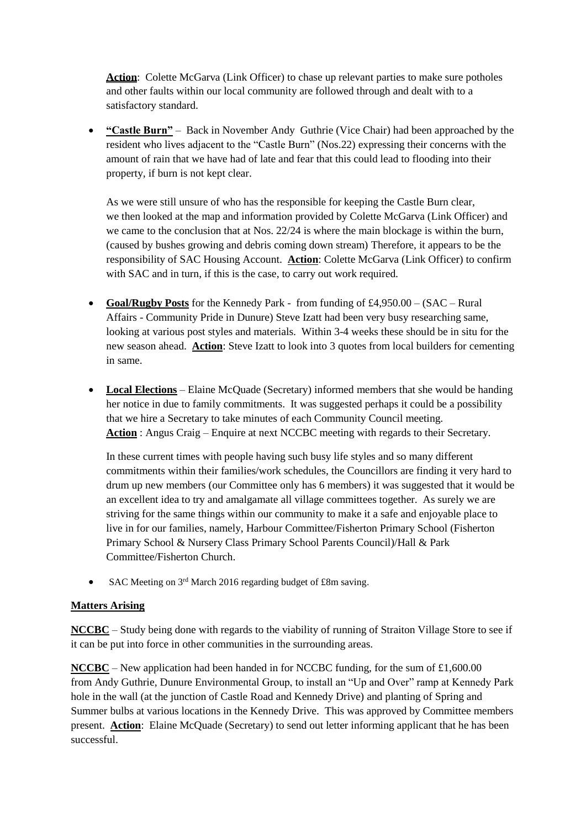Action: Colette McGarva (Link Officer) to chase up relevant parties to make sure potholes and other faults within our local community are followed through and dealt with to a satisfactory standard.

 **"Castle Burn"** – Back in November Andy Guthrie (Vice Chair) had been approached by the resident who lives adjacent to the "Castle Burn" (Nos.22) expressing their concerns with the amount of rain that we have had of late and fear that this could lead to flooding into their property, if burn is not kept clear.

As we were still unsure of who has the responsible for keeping the Castle Burn clear, we then looked at the map and information provided by Colette McGarva (Link Officer) and we came to the conclusion that at Nos. 22/24 is where the main blockage is within the burn, (caused by bushes growing and debris coming down stream) Therefore, it appears to be the responsibility of SAC Housing Account. **Action**: Colette McGarva (Link Officer) to confirm with SAC and in turn, if this is the case, to carry out work required.

- **Goal/Rugby Posts** for the Kennedy Park from funding of £4,950.00 (SAC Rural Affairs - Community Pride in Dunure) Steve Izatt had been very busy researching same, looking at various post styles and materials. Within 3-4 weeks these should be in situ for the new season ahead. **Action**: Steve Izatt to look into 3 quotes from local builders for cementing in same.
- **Local Elections** Elaine McQuade (Secretary) informed members that she would be handing her notice in due to family commitments. It was suggested perhaps it could be a possibility that we hire a Secretary to take minutes of each Community Council meeting. **Action** : Angus Craig – Enquire at next NCCBC meeting with regards to their Secretary.

In these current times with people having such busy life styles and so many different commitments within their families/work schedules, the Councillors are finding it very hard to drum up new members (our Committee only has 6 members) it was suggested that it would be an excellent idea to try and amalgamate all village committees together. As surely we are striving for the same things within our community to make it a safe and enjoyable place to live in for our families, namely, Harbour Committee/Fisherton Primary School (Fisherton Primary School & Nursery Class Primary School Parents Council)/Hall & Park Committee/Fisherton Church.

• SAC Meeting on 3<sup>rd</sup> March 2016 regarding budget of £8m saving.

# **Matters Arising**

**NCCBC** – Study being done with regards to the viability of running of Straiton Village Store to see if it can be put into force in other communities in the surrounding areas.

**NCCBC** – New application had been handed in for NCCBC funding, for the sum of £1,600.00 from Andy Guthrie, Dunure Environmental Group, to install an "Up and Over" ramp at Kennedy Park hole in the wall (at the junction of Castle Road and Kennedy Drive) and planting of Spring and Summer bulbs at various locations in the Kennedy Drive. This was approved by Committee members present. **Action**: Elaine McQuade (Secretary) to send out letter informing applicant that he has been successful.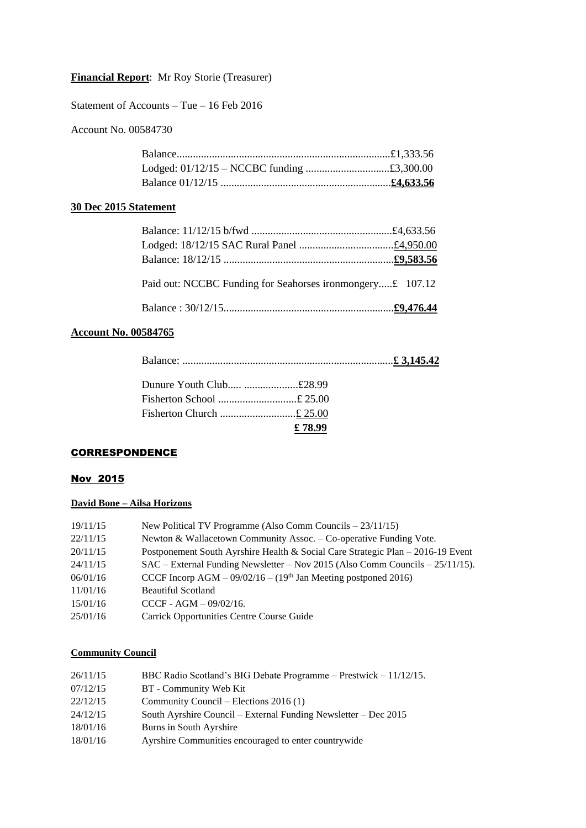# **Financial Report**: Mr Roy Storie (Treasurer)

Statement of Accounts – Tue – 16 Feb 2016

Account No. 00584730

# **30 Dec 2015 Statement**

| Paid out: NCCBC Funding for Seahorses ironmongery£ 107.12 |  |
|-----------------------------------------------------------|--|
|                                                           |  |

### **Account No. 00584765**

| Dunure Youth Club £28.99 |        |  |
|--------------------------|--------|--|
| Fisherton School £ 25.00 |        |  |
|                          |        |  |
|                          | £78.99 |  |

### **CORRESPONDENCE**

# Nov 2015

# **David Bone – Ailsa Horizons**

| 19/11/15 | New Political TV Programme (Also Comm Councils $-23/11/15$ )                    |
|----------|---------------------------------------------------------------------------------|
| 22/11/15 | Newton & Wallacetown Community Assoc. – Co-operative Funding Vote.              |
| 20/11/15 | Postponement South Ayrshire Health & Social Care Strategic Plan – 2016-19 Event |
| 24/11/15 | $SAC - External$ Funding Newsletter – Nov 2015 (Also Comm Councils – 25/11/15). |
| 06/01/16 | CCCF Incorp AGM $- 09/02/16 - (19th$ Jan Meeting postponed 2016)                |
| 11/01/16 | <b>Beautiful Scotland</b>                                                       |
| 15/01/16 | $CCCF - AGM - 09/02/16.$                                                        |
| 25/01/16 | <b>Carrick Opportunities Centre Course Guide</b>                                |

# **Community Council**

| 26/11/15 | BBC Radio Scotland's BIG Debate Programme – Prestwick – 11/12/15. |
|----------|-------------------------------------------------------------------|
| 07/12/15 | BT - Community Web Kit                                            |
| 22/12/15 | Community Council – Elections $2016(1)$                           |
| 24/12/15 | South Ayrshire Council – External Funding Newsletter – Dec 2015   |
| 18/01/16 | Burns in South Ayrshire                                           |
| 18/01/16 | Ayrshire Communities encouraged to enter country wide             |
|          |                                                                   |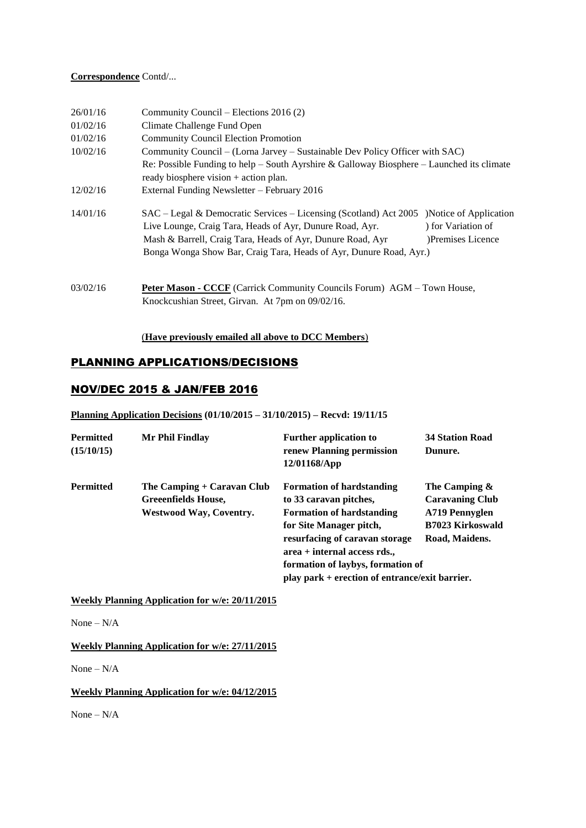### **Correspondence** Contd/...

| 26/01/16 | Community Council – Elections 2016 (2)                                                                                                                                                                                                                                                                                              |  |  |
|----------|-------------------------------------------------------------------------------------------------------------------------------------------------------------------------------------------------------------------------------------------------------------------------------------------------------------------------------------|--|--|
| 01/02/16 | Climate Challenge Fund Open                                                                                                                                                                                                                                                                                                         |  |  |
| 01/02/16 | <b>Community Council Election Promotion</b>                                                                                                                                                                                                                                                                                         |  |  |
| 10/02/16 | Community Council – (Lorna Jarvey – Sustainable Dev Policy Officer with SAC)                                                                                                                                                                                                                                                        |  |  |
|          | Re: Possible Funding to help – South Ayrshire & Galloway Biosphere – Launched its climate<br>ready biosphere vision + action plan.                                                                                                                                                                                                  |  |  |
| 12/02/16 | External Funding Newsletter - February 2016                                                                                                                                                                                                                                                                                         |  |  |
| 14/01/16 | SAC – Legal & Democratic Services – Licensing (Scotland) Act 2005 )Notice of Application<br>Live Lounge, Craig Tara, Heads of Ayr, Dunure Road, Ayr.<br>) for Variation of<br>Mash & Barrell, Craig Tara, Heads of Ayr, Dunure Road, Ayr<br>)Premises Licence<br>Bonga Wonga Show Bar, Craig Tara, Heads of Ayr, Dunure Road, Ayr.) |  |  |
| 03/02/16 | Peter Mason - CCCF (Carrick Community Councils Forum) AGM - Town House,<br>Knockcushian Street, Girvan. At 7pm on 09/02/16.                                                                                                                                                                                                         |  |  |

### (**Have previously emailed all above to DCC Members**)

# PLANNING APPLICATIONS/DECISIONS

# NOV/DEC 2015 & JAN/FEB 2016

### **Planning Application Decisions (01/10/2015 – 31/10/2015) – Recvd: 19/11/15**

| <b>Permitted</b><br>(15/10/15) | Mr Phil Findlay                                                                     | <b>Further application to</b><br>renew Planning permission<br>12/01168/App                                                                                                                                                                                                          | <b>34 Station Road</b><br>Dunure.                                                                         |
|--------------------------------|-------------------------------------------------------------------------------------|-------------------------------------------------------------------------------------------------------------------------------------------------------------------------------------------------------------------------------------------------------------------------------------|-----------------------------------------------------------------------------------------------------------|
| <b>Permitted</b>               | The Camping + Caravan Club<br>Greeenfields House,<br><b>Westwood Way, Coventry.</b> | <b>Formation of hardstanding</b><br>to 33 caravan pitches,<br><b>Formation of hardstanding</b><br>for Site Manager pitch,<br>resurfacing of caravan storage<br>$area + internal access rds.$<br>formation of laybys, formation of<br>play park + erection of entrance/exit barrier. | The Camping $\&$<br><b>Caravaning Club</b><br>A719 Pennyglen<br><b>B7023 Kirkoswald</b><br>Road, Maidens. |

**Weekly Planning Application for w/e: 20/11/2015**

None – N/A

**Weekly Planning Application for w/e: 27/11/2015**

None –  $N/A$ 

### **Weekly Planning Application for w/e: 04/12/2015**

None – N/A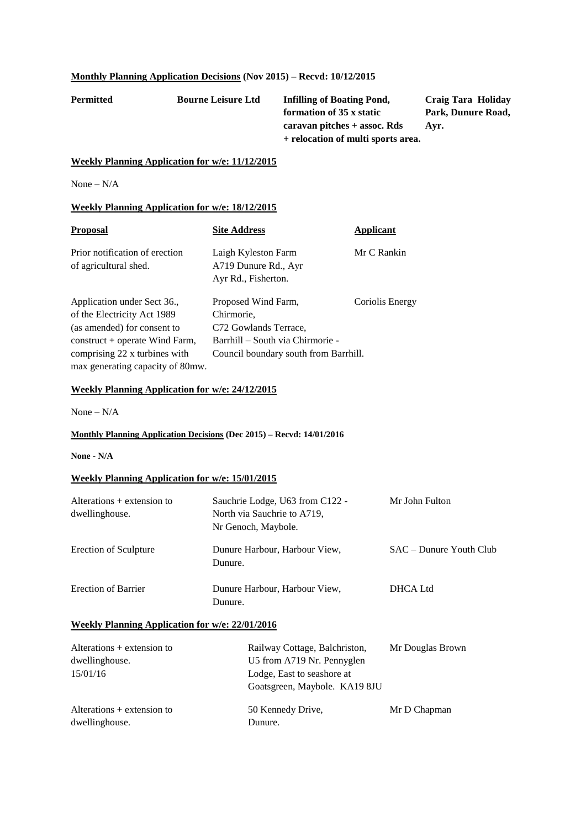# **Monthly Planning Application Decisions (Nov 2015) – Recvd: 10/12/2015**

**Permitted Bourne Leisure Ltd Infilling of Boating Pond, Craig Tara Holiday formation of 35 x static Park, Dunure Road, caravan pitches + assoc. Rds Ayr. + relocation of multi sports area.**

#### **Weekly Planning Application for w/e: 11/12/2015**

None – N/A

#### **Weekly Planning Application for w/e: 18/12/2015**

| <b>Proposal</b>                                         | <b>Site Address</b>                                                | Applicant       |
|---------------------------------------------------------|--------------------------------------------------------------------|-----------------|
| Prior notification of erection<br>of agricultural shed. | Laigh Kyleston Farm<br>A719 Dunure Rd., Ayr<br>Ayr Rd., Fisherton. | Mr C Rankin     |
| Application under Sect 36.,                             | Proposed Wind Farm,                                                | Coriolis Energy |
| of the Electricity Act 1989                             | Chirmorie,                                                         |                 |
| (as amended) for consent to                             | C72 Gowlands Terrace,                                              |                 |
| $constant + operate$ Wind Farm,                         | Barrhill - South via Chirmorie -                                   |                 |
| comprising 22 x turbines with                           | Council boundary south from Barrhill.                              |                 |
| max generating capacity of 80mw.                        |                                                                    |                 |

#### **Weekly Planning Application for w/e: 24/12/2015**

None – N/A

### **Monthly Planning Application Decisions (Dec 2015) – Recvd: 14/01/2016**

**None - N/A**

### **Weekly Planning Application for w/e: 15/01/2015**

| Alterations $+$ extension to<br>dwellinghouse. | Sauchrie Lodge, U63 from C122 -<br>North via Sauchrie to A719,<br>Nr Genoch, Maybole. | Mr John Fulton            |
|------------------------------------------------|---------------------------------------------------------------------------------------|---------------------------|
| <b>Erection of Sculpture</b>                   | Dunure Harbour, Harbour View,<br>Dunure.                                              | $SAC$ – Dunure Youth Club |
| <b>Erection of Barrier</b>                     | Dunure Harbour, Harbour View,<br>Dunure.                                              | DHCA Ltd                  |

#### **Weekly Planning Application for w/e: 22/01/2016**

| Alterations $+$ extension to                   | Railway Cottage, Balchriston, | Mr Douglas Brown |
|------------------------------------------------|-------------------------------|------------------|
| dwellinghouse.                                 | U5 from A719 Nr. Pennyglen    |                  |
| 15/01/16                                       | Lodge, East to seashore at    |                  |
|                                                | Goatsgreen, Maybole. KA19 8JU |                  |
| Alterations $+$ extension to<br>dwellinghouse. | 50 Kennedy Drive,<br>Dunure.  | Mr D Chapman     |